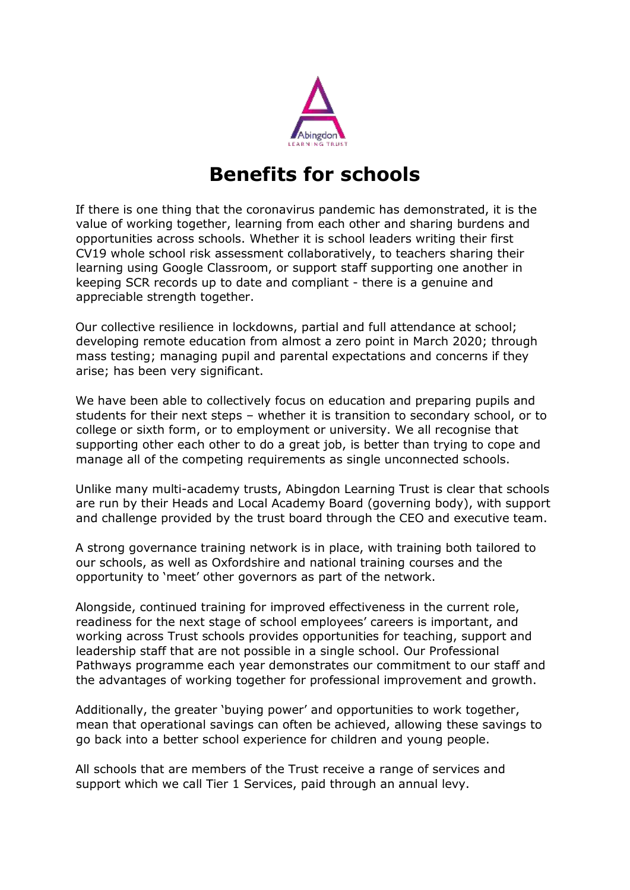

## **Benefits for schools**

If there is one thing that the coronavirus pandemic has demonstrated, it is the value of working together, learning from each other and sharing burdens and opportunities across schools. Whether it is school leaders writing their first CV19 whole school risk assessment collaboratively, to teachers sharing their learning using Google Classroom, or support staff supporting one another in keeping SCR records up to date and compliant - there is a genuine and appreciable strength together.

Our collective resilience in lockdowns, partial and full attendance at school; developing remote education from almost a zero point in March 2020; through mass testing; managing pupil and parental expectations and concerns if they arise; has been very significant.

We have been able to collectively focus on education and preparing pupils and students for their next steps – whether it is transition to secondary school, or to college or sixth form, or to employment or university. We all recognise that supporting other each other to do a great job, is better than trying to cope and manage all of the competing requirements as single unconnected schools.

Unlike many multi-academy trusts, Abingdon Learning Trust is clear that schools are run by their Heads and Local Academy Board (governing body), with support and challenge provided by the trust board through the CEO and executive team.

A strong governance training network is in place, with training both tailored to our schools, as well as Oxfordshire and national training courses and the opportunity to 'meet' other governors as part of the network.

Alongside, continued training for improved effectiveness in the current role, readiness for the next stage of school employees' careers is important, and working across Trust schools provides opportunities for teaching, support and leadership staff that are not possible in a single school. Our Professional Pathways programme each year demonstrates our commitment to our staff and the advantages of working together for professional improvement and growth.

Additionally, the greater 'buying power' and opportunities to work together, mean that operational savings can often be achieved, allowing these savings to go back into a better school experience for children and young people.

All schools that are members of the Trust receive a range of services and support which we call Tier 1 Services, paid through an annual levy.